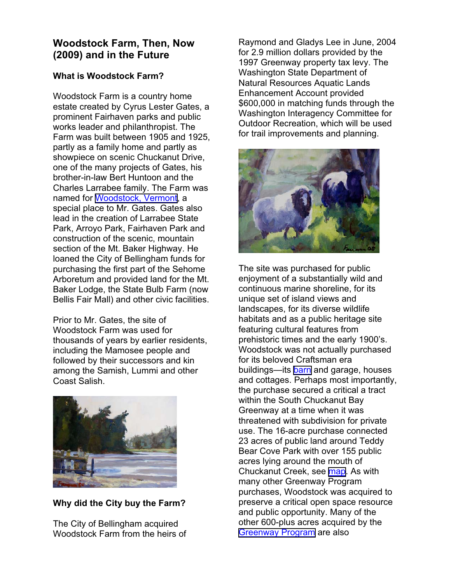## **Woodstock Farm, Then, Now (2009) and in the Future**

## **What is Woodstock Farm?**

Woodstock Farm is a country home estate created by Cyrus Lester Gates, a prominent Fairhaven parks and public works leader and philanthropist. The Farm was built between 1905 and 1925, partly as a family home and partly as showpiece on scenic Chuckanut Drive, one of the many projects of Gates, his brother-in-law Bert Huntoon and the Charles Larrabee family. The Farm was named for [Woodstock, Vermont,](http://www.cob.org/documents/parks/parks-trails/gates-other-woodstock%20.pdf) a special place to Mr. Gates. Gates also lead in the creation of Larrabee State Park, Arroyo Park, Fairhaven Park and construction of the scenic, mountain section of the Mt. Baker Highway. He loaned the City of Bellingham funds for purchasing the first part of the Sehome Arboretum and provided land for the Mt. Baker Lodge, the State Bulb Farm (now Bellis Fair Mall) and other civic facilities.

Prior to Mr. Gates, the site of Woodstock Farm was used for thousands of years by earlier residents, including the Mamosee people and followed by their successors and kin among the Samish, Lummi and other Coast Salish.



**Why did the City buy the Farm?** 

The City of Bellingham acquired Woodstock Farm from the heirs of Raymond and Gladys Lee in June, 2004 for 2.9 million dollars provided by the 1997 Greenway property tax levy. The Washington State Department of Natural Resources Aquatic Lands Enhancement Account provided \$600,000 in matching funds through the Washington Interagency Committee for Outdoor Recreation, which will be used for trail improvements and planning.



The site was purchased for public enjoyment of a substantially wild and continuous marine shoreline, for its unique set of island views and landscapes, for its diverse wildlife habitats and as a public heritage site featuring cultural features from prehistoric times and the early 1900's. Woodstock was not actually purchased for its beloved Craftsman era buildings—its [barn](http://www.cob.org/documents/parks/development/projects/woodstock-charrette/5.6-barn-registration-packet.pdf) and garage, houses and cottages. Perhaps most importantly, the purchase secured a critical a tract within the South Chuckanut Bay Greenway at a time when it was threatened with subdivision for private use. The 16-acre purchase connected 23 acres of public land around Teddy Bear Cove Park with over 155 public acres lying around the mouth of Chuckanut Creek, see [map](http://www.cob.org/documents/parks/development/projects/woodstock-charrette/0.3-woodstock-area-map.pdf). As with many other Greenway Program purchases, Woodstock was acquired to preserve a critical open space resource and public opportunity. Many of the other 600-plus acres acquired by the [Greenway Program](http://www.cob.org/government/departments/parks/greenway/index.aspx) are also